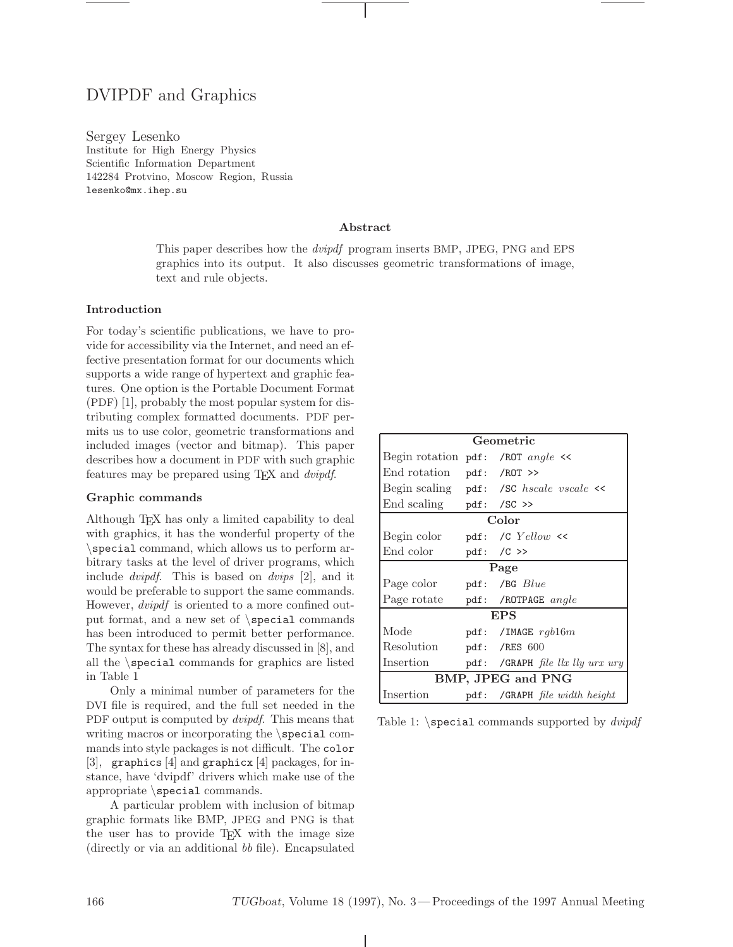# DVIPDF and Graphics

Sergey Lesenko Institute for High Energy Physics Scientific Information Department 142284 Protvino, Moscow Region, Russia lesenko@mx.ihep.su

### **Abstract**

This paper describes how the dvipdf program inserts BMP, JPEG, PNG and EPS graphics into its output. It also discusses geometric transformations of image, text and rule objects.

# **Introduction**

For today's scientific publications, we have to provide for accessibility via the Internet, and need an effective presentation format for our documents which supports a wide range of hypertext and graphic features. One option is the Portable Document Format (PDF) [1], probably the most popular system for distributing complex formatted documents. PDF permits us to use color, geometric transformations and included images (vector and bitmap). This paper describes how a document in PDF with such graphic features may be prepared using TEX and dvipdf.

## **Graphic commands**

Although TEX has only a limited capability to deal with graphics, it has the wonderful property of the \special command, which allows us to perform arbitrary tasks at the level of driver programs, which include dvipdf. This is based on dvips [2], and it would be preferable to support the same commands. However, dvipdf is oriented to a more confined output format, and a new set of \special commands has been introduced to permit better performance. The syntax for these has already discussed in [8], and all the \special commands for graphics are listed in Table 1

Only a minimal number of parameters for the DVI file is required, and the full set needed in the PDF output is computed by *dvipdf*. This means that writing macros or incorporating the  $\simeq$ mands into style packages is not difficult. The color [3], graphics [4] and graphicx [4] packages, for instance, have 'dvipdf' drivers which make use of the appropriate \special commands.

A particular problem with inclusion of bitmap graphic formats like BMP, JPEG and PNG is that the user has to provide T<sub>E</sub>X with the image size (directly or via an additional bb file). Encapsulated

| Geometric                           |  |                                              |
|-------------------------------------|--|----------------------------------------------|
| Begin rotation $pdf:$ /ROT angle << |  |                                              |
| End rotation                        |  | $pdf: /ROT$ >>                               |
|                                     |  | Begin scaling $pdf:$ /SC hscale vscale $\ll$ |
| End scaling $pdf: /SC \gg$          |  |                                              |
| Color                               |  |                                              |
| Begin color                         |  | $pdf: /C$ $Yellow$ <<                        |
| End color                           |  | $pdf: /C \gg$                                |
| Page                                |  |                                              |
| Page color                          |  | pdf: /BG $Blue$                              |
| Page rotate                         |  | pdf: /ROTPAGE $angle$                        |
| <b>EPS</b>                          |  |                                              |
| Mode                                |  | pdf: /IMAGE $rgb16m$                         |
| Resolution                          |  | pdf: /RES $600$                              |
| Insertion                           |  | pdf: /GRAPH file llx lly urx ury             |
| BMP, JPEG and PNG                   |  |                                              |
| Insertion                           |  | $pdf:$ /GRAPH file width height              |

Table 1:  $\text{Spectral commands supported by } \text{div}(x)$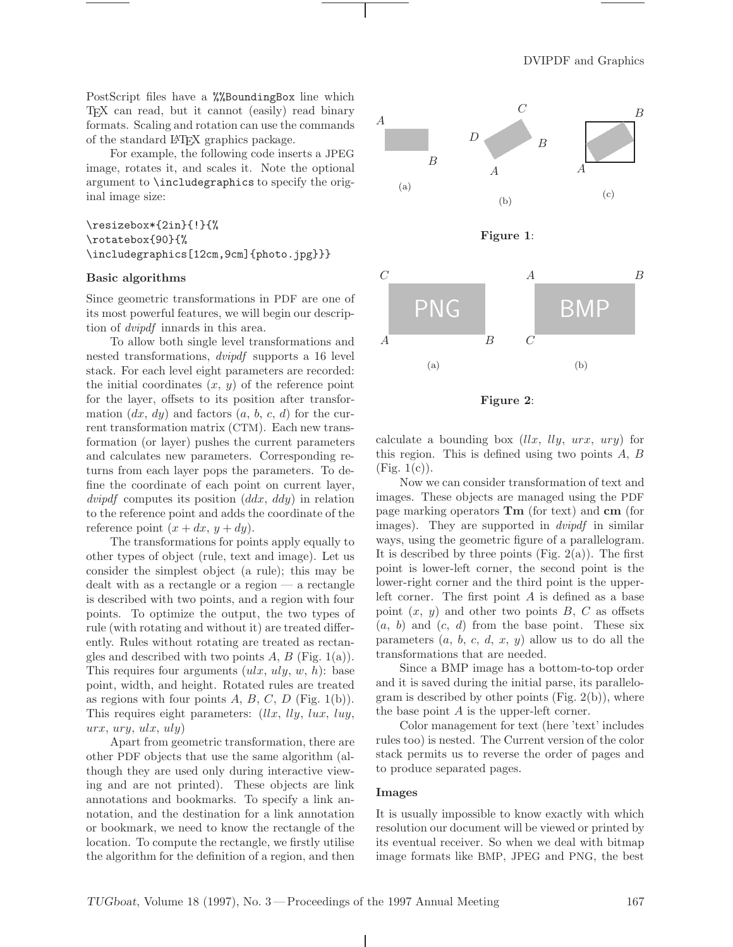PostScript files have a %%BoundingBox line which TEX can read, but it cannot (easily) read binary formats. Scaling and rotation can use the commands of the standard LATEX graphics package.

For example, the following code inserts a JPEG image, rotates it, and scales it. Note the optional argument to \includegraphics to specify the original image size:

# \resizebox\*{2in}{!}{% \rotatebox{90}{% \includegraphics[12cm,9cm]{photo.jpg}}}

### **Basic algorithms**

Since geometric transformations in PDF are one of its most powerful features, we will begin our description of dvipdf innards in this area.

To allow both single level transformations and nested transformations, dvipdf supports a 16 level stack. For each level eight parameters are recorded: the initial coordinates  $(x, y)$  of the reference point for the layer, offsets to its position after transformation  $(dx, dy)$  and factors  $(a, b, c, d)$  for the current transformation matrix (CTM). Each new transformation (or layer) pushes the current parameters and calculates new parameters. Corresponding returns from each layer pops the parameters. To define the coordinate of each point on current layer,  ${\it{divipdf}}$  computes its position  $({\it{ddx}}, {\it{ddy}})$  in relation to the reference point and adds the coordinate of the reference point  $(x + dx, y + dy)$ .

The transformations for points apply equally to other types of object (rule, text and image). Let us consider the simplest object (a rule); this may be dealt with as a rectangle or a region — a rectangle is described with two points, and a region with four points. To optimize the output, the two types of rule (with rotating and without it) are treated differently. Rules without rotating are treated as rectangles and described with two points  $A, B$  (Fig. 1(a)). This requires four arguments  $(ulx, uly, w, h)$ : base point, width, and height. Rotated rules are treated as regions with four points  $A, B, C, D$  (Fig. 1(b)). This requires eight parameters:  $(llx, lly, lux, luy,$  $urx, \,ury, \, ulx, \,uly)$ 

Apart from geometric transformation, there are other PDF objects that use the same algorithm (although they are used only during interactive viewing and are not printed). These objects are link annotations and bookmarks. To specify a link annotation, and the destination for a link annotation or bookmark, we need to know the rectangle of the location. To compute the rectangle, we firstly utilise the algorithm for the definition of a region, and then



**Figure 2**:

calculate a bounding box  $(llx, lly, urx, ury)$  for this region. This is defined using two points  $A, B$  $(Fig. 1(c)).$ 

Now we can consider transformation of text and images. These objects are managed using the PDF page marking operators **Tm** (for text) and **cm** (for images). They are supported in *dvipdf* in similar ways, using the geometric figure of a parallelogram. It is described by three points  $(Fig. 2(a))$ . The first point is lower-left corner, the second point is the lower-right corner and the third point is the upperleft corner. The first point  $A$  is defined as a base point  $(x, y)$  and other two points B, C as offsets  $(a, b)$  and  $(c, d)$  from the base point. These six parameters  $(a, b, c, d, x, y)$  allow us to do all the transformations that are needed.

Since a BMP image has a bottom-to-top order and it is saved during the initial parse, its parallelogram is described by other points  $(Fig. 2(b))$ , where the base point A is the upper-left corner.

Color management for text (here 'text' includes rules too) is nested. The Current version of the color stack permits us to reverse the order of pages and to produce separated pages.

#### **Images**

It is usually impossible to know exactly with which resolution our document will be viewed or printed by its eventual receiver. So when we deal with bitmap image formats like BMP, JPEG and PNG, the best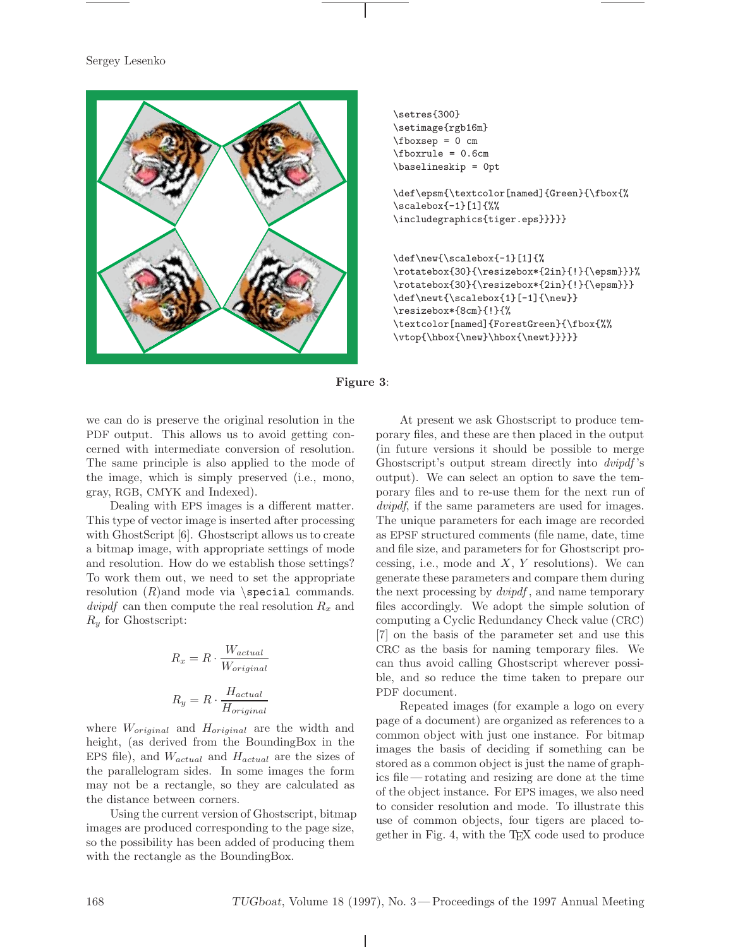## Sergey Lesenko





\def\epsm{\textcolor[named]{Green}{\fbox{% \scalebox{-1}[1]{%% \includegraphics{tiger.eps}}}}}

\def\new{\scalebox{-1}[1]{% \rotatebox{30}{\resizebox\*{2in}{!}{\epsm}}}% \rotatebox{30}{\resizebox\*{2in}{!}{\epsm}}} \def\newt{\scalebox{1}[-1]{\new}} \resizebox\*{8cm}{!}{% \textcolor[named]{ForestGreen}{\fbox{%% \vtop{\hbox{\new}\hbox{\newt}}}}}



we can do is preserve the original resolution in the PDF output. This allows us to avoid getting concerned with intermediate conversion of resolution. The same principle is also applied to the mode of the image, which is simply preserved (i.e., mono, gray, RGB, CMYK and Indexed).

Dealing with EPS images is a different matter. This type of vector image is inserted after processing with GhostScript [6]. Ghostscript allows us to create a bitmap image, with appropriate settings of mode and resolution. How do we establish those settings? To work them out, we need to set the appropriate resolution  $(R)$ and mode via \special commands. dvipdf can then compute the real resolution  $R_x$  and  $R_y$  for Ghostscript:

$$
R_x = R \cdot \frac{W_{actual}}{W_{original}}
$$
  

$$
R_y = R \cdot \frac{H_{actual}}{H_{original}}
$$

where  $W_{original}$  and  $H_{original}$  are the width and height, (as derived from the BoundingBox in the EPS file), and  $W_{actual}$  and  $H_{actual}$  are the sizes of the parallelogram sides. In some images the form may not be a rectangle, so they are calculated as the distance between corners.

Using the current version of Ghostscript, bitmap images are produced corresponding to the page size, so the possibility has been added of producing them with the rectangle as the BoundingBox.

At present we ask Ghostscript to produce temporary files, and these are then placed in the output (in future versions it should be possible to merge Ghostscript's output stream directly into dvipdf 's output). We can select an option to save the temporary files and to re-use them for the next run of dvipdf, if the same parameters are used for images. The unique parameters for each image are recorded as EPSF structured comments (file name, date, time and file size, and parameters for for Ghostscript processing, i.e., mode and  $X, Y$  resolutions). We can generate these parameters and compare them during the next processing by *dvipdf*, and name temporary files accordingly. We adopt the simple solution of computing a Cyclic Redundancy Check value (CRC) [7] on the basis of the parameter set and use this CRC as the basis for naming temporary files. We can thus avoid calling Ghostscript wherever possible, and so reduce the time taken to prepare our PDF document.

Repeated images (for example a logo on every page of a document) are organized as references to a common object with just one instance. For bitmap images the basis of deciding if something can be stored as a common object is just the name of graphics file — rotating and resizing are done at the time of the object instance. For EPS images, we also need to consider resolution and mode. To illustrate this use of common objects, four tigers are placed together in Fig. 4, with the TEX code used to produce